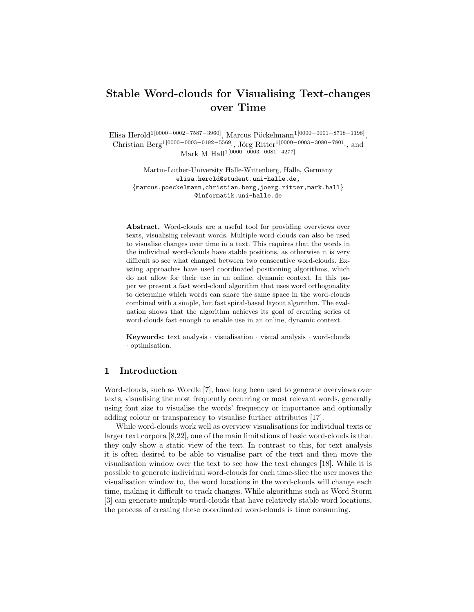# Stable Word-clouds for Visualising Text-changes over Time

Elisa Herold<sup>1[0000–0002–7587–3960]</sup>, Marcus Pöckelmann<sup>1[0000–0001–8718–1198],</sup> Christian Berg<sup>1[0000–0003–0192–5569]</sup>, Jörg Ritter<sup>1[0000–0003–3080–7801]</sup>, and Mark M Hall1[0000−0003−0081−4277]

Martin-Luther-University Halle-Wittenberg, Halle, Germany elisa.herold@student.uni-halle.de, {marcus.poeckelmann,christian.berg,joerg.ritter,mark.hall} @informatik.uni-halle.de

Abstract. Word-clouds are a useful tool for providing overviews over texts, visualising relevant words. Multiple word-clouds can also be used to visualise changes over time in a text. This requires that the words in the individual word-clouds have stable positions, as otherwise it is very difficult so see what changed between two consecutive word-clouds. Existing approaches have used coordinated positioning algorithms, which do not allow for their use in an online, dynamic context. In this paper we present a fast word-cloud algorithm that uses word orthogonality to determine which words can share the same space in the word-clouds combined with a simple, but fast spiral-based layout algorithm. The evaluation shows that the algorithm achieves its goal of creating series of word-clouds fast enough to enable use in an online, dynamic context.

Keywords: text analysis  $\cdot$  visualisation  $\cdot$  visual analysis  $\cdot$  word-clouds · optimisation.

#### 1 Introduction

Word-clouds, such as Wordle [7], have long been used to generate overviews over texts, visualising the most frequently occurring or most relevant words, generally using font size to visualise the words' frequency or importance and optionally adding colour or transparency to visualise further attributes [17].

While word-clouds work well as overview visualisations for individual texts or larger text corpora [8,22], one of the main limitations of basic word-clouds is that they only show a static view of the text. In contrast to this, for text analysis it is often desired to be able to visualise part of the text and then move the visualisation window over the text to see how the text changes [18]. While it is possible to generate individual word-clouds for each time-slice the user moves the visualisation window to, the word locations in the word-clouds will change each time, making it difficult to track changes. While algorithms such as Word Storm [3] can generate multiple word-clouds that have relatively stable word locations, the process of creating these coordinated word-clouds is time consuming.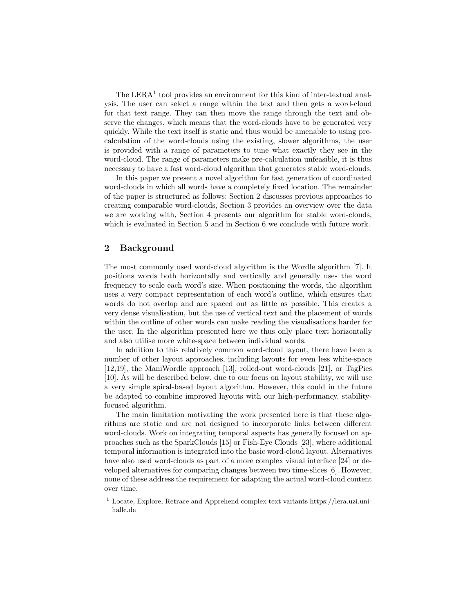The LERA<sup>1</sup> tool provides an environment for this kind of inter-textual analysis. The user can select a range within the text and then gets a word-cloud for that text range. They can then move the range through the text and observe the changes, which means that the word-clouds have to be generated very quickly. While the text itself is static and thus would be amenable to using precalculation of the word-clouds using the existing, slower algorithms, the user is provided with a range of parameters to tune what exactly they see in the word-cloud. The range of parameters make pre-calculation unfeasible, it is thus necessary to have a fast word-cloud algorithm that generates stable word-clouds.

In this paper we present a novel algorithm for fast generation of coordinated word-clouds in which all words have a completely fixed location. The remainder of the paper is structured as follows: Section 2 discusses previous approaches to creating comparable word-clouds, Section 3 provides an overview over the data we are working with, Section 4 presents our algorithm for stable word-clouds, which is evaluated in Section 5 and in Section 6 we conclude with future work.

# 2 Background

The most commonly used word-cloud algorithm is the Wordle algorithm [7]. It positions words both horizontally and vertically and generally uses the word frequency to scale each word's size. When positioning the words, the algorithm uses a very compact representation of each word's outline, which ensures that words do not overlap and are spaced out as little as possible. This creates a very dense visualisation, but the use of vertical text and the placement of words within the outline of other words can make reading the visualisations harder for the user. In the algorithm presented here we thus only place text horizontally and also utilise more white-space between individual words.

In addition to this relatively common word-cloud layout, there have been a number of other layout approaches, including layouts for even less white-space [12,19], the ManiWordle approach [13], rolled-out word-clouds [21], or TagPies [10]. As will be described below, due to our focus on layout stability, we will use a very simple spiral-based layout algorithm. However, this could in the future be adapted to combine improved layouts with our high-performancy, stabilityfocused algorithm.

The main limitation motivating the work presented here is that these algorithms are static and are not designed to incorporate links between different word-clouds. Work on integrating temporal aspects has generally focused on approaches such as the SparkClouds [15] or Fish-Eye Clouds [23], where additional temporal information is integrated into the basic word-cloud layout. Alternatives have also used word-clouds as part of a more complex visual interface [24] or developed alternatives for comparing changes between two time-slices [6]. However, none of these address the requirement for adapting the actual word-cloud content over time.

<sup>1</sup> Locate, Explore, Retrace and Apprehend complex text variants https://lera.uzi.unihalle.de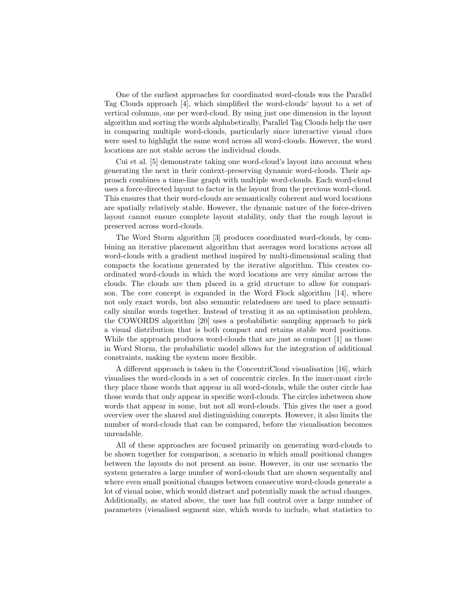One of the earliest approaches for coordinated word-clouds was the Parallel Tag Clouds approach [4], which simplified the word-clouds' layout to a set of vertical columns, one per word-cloud. By using just one dimension in the layout algorithm and sorting the words alphabetically, Parallel Tag Clouds help the user in comparing multiple word-clouds, particularly since interactive visual clues were used to highlight the same word across all word-clouds. However, the word locations are not stable across the individual clouds.

Cui et al. [5] demonstrate taking one word-cloud's layout into account when generating the next in their context-preserving dynamic word-clouds. Their approach combines a time-line graph with multiple word-clouds. Each word-cloud uses a force-directed layout to factor in the layout from the previous word-cloud. This ensures that their word-clouds are semantically coherent and word locations are spatially relatively stable. However, the dynamic nature of the force-driven layout cannot ensure complete layout stability, only that the rough layout is preserved across word-clouds.

The Word Storm algorithm [3] produces coordinated word-clouds, by combining an iterative placement algorithm that averages word locations across all word-clouds with a gradient method inspired by multi-dimensional scaling that compacts the locations generated by the iterative algorithm. This creates coordinated word-clouds in which the word locations are very similar across the clouds. The clouds are then placed in a grid structure to allow for comparison. The core concept is expanded in the Word Flock algorithm [14], where not only exact words, but also semantic relatedness are used to place semantically similar words together. Instead of treating it as an optimisation problem, the COWORDS algorithm [20] uses a probabilistic sampling approach to pick a visual distribution that is both compact and retains stable word positions. While the approach produces word-clouds that are just as compact [1] as those in Word Storm, the probabilistic model allows for the integration of additional constraints, making the system more flexible.

A different approach is taken in the ConcentriCloud visualisation [16], which visualises the word-clouds in a set of concentric circles. In the inner-most circle they place those words that appear in all word-clouds, while the outer circle has those words that only appear in specific word-clouds. The circles inbetween show words that appear in some, but not all word-clouds. This gives the user a good overview over the shared and distinguishing concepts. However, it also limits the number of word-clouds that can be compared, before the visualisation becomes unreadable.

All of these approaches are focused primarily on generating word-clouds to be shown together for comparison, a scenario in which small positional changes between the layouts do not present an issue. However, in our use scenario the system generates a large number of word-clouds that are shown sequentally and where even small positional changes between consecutive word-clouds generate a lot of visual noise, which would distract and potentially mask the actual changes. Additionally, as stated above, the user has full control over a large number of parameters (visualised segment size, which words to include, what statistics to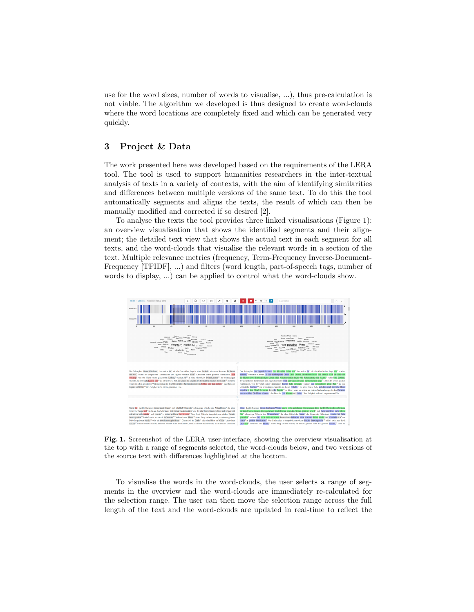use for the word sizes, number of words to visualise, ...), thus pre-calculation is not viable. The algorithm we developed is thus designed to create word-clouds where the word locations are completely fixed and which can be generated very quickly.

# 3 Project & Data

The work presented here was developed based on the requirements of the LERA tool. The tool is used to support humanities researchers in the inter-textual analysis of texts in a variety of contexts, with the aim of identifying similarities and differences between multiple versions of the same text. To do this the tool automatically segments and aligns the texts, the result of which can then be manually modified and corrected if so desired [2].

To analyse the texts the tool provides three linked visualisations (Figure 1): an overview visualisation that shows the identified segments and their alignment; the detailed text view that shows the actual text in each segment for all texts, and the word-clouds that visualise the relevant words in a section of the text. Multiple relevance metrics (frequency, Term-Frequency Inverse-Document-Frequency [TFIDF], ...) and filters (word length, part-of-speech tags, number of words to display, ...) can be applied to control what the word-clouds show.



Fig. 1. Screenshot of the LERA user-interface, showing the overview visualisation at the top with a range of segments selected, the word-clouds below, and two versions of the source text with differences highlighted at the bottom.

To visualise the words in the word-clouds, the user selects a range of segments in the overview and the word-clouds are immediately re-calculated for the selection range. The user can then move the selection range across the full length of the text and the word-clouds are updated in real-time to reflect the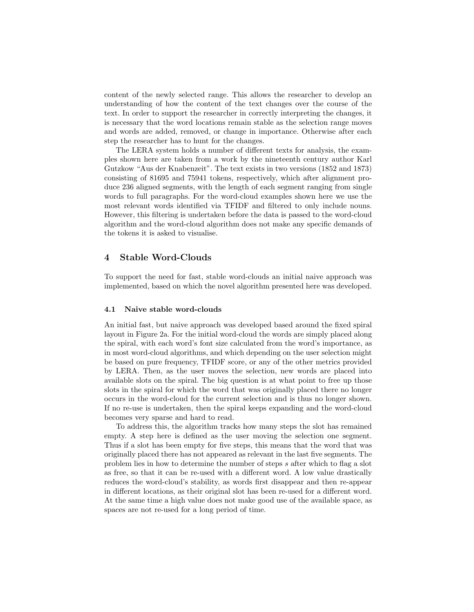content of the newly selected range. This allows the researcher to develop an understanding of how the content of the text changes over the course of the text. In order to support the researcher in correctly interpreting the changes, it is necessary that the word locations remain stable as the selection range moves and words are added, removed, or change in importance. Otherwise after each step the researcher has to hunt for the changes.

The LERA system holds a number of different texts for analysis, the examples shown here are taken from a work by the nineteenth century author Karl Gutzkow "Aus der Knabenzeit". The text exists in two versions (1852 and 1873) consisting of 81695 and 75941 tokens, respectively, which after alignment produce 236 aligned segments, with the length of each segment ranging from single words to full paragraphs. For the word-cloud examples shown here we use the most relevant words identified via TFIDF and filtered to only include nouns. However, this filtering is undertaken before the data is passed to the word-cloud algorithm and the word-cloud algorithm does not make any specific demands of the tokens it is asked to visualise.

### 4 Stable Word-Clouds

To support the need for fast, stable word-clouds an initial naive approach was implemented, based on which the novel algorithm presented here was developed.

#### 4.1 Naive stable word-clouds

An initial fast, but naive approach was developed based around the fixed spiral layout in Figure 2a. For the initial word-cloud the words are simply placed along the spiral, with each word's font size calculated from the word's importance, as in most word-cloud algorithms, and which depending on the user selection might be based on pure frequency, TFIDF score, or any of the other metrics provided by LERA. Then, as the user moves the selection, new words are placed into available slots on the spiral. The big question is at what point to free up those slots in the spiral for which the word that was originally placed there no longer occurs in the word-cloud for the current selection and is thus no longer shown. If no re-use is undertaken, then the spiral keeps expanding and the word-cloud becomes very sparse and hard to read.

To address this, the algorithm tracks how many steps the slot has remained empty. A step here is defined as the user moving the selection one segment. Thus if a slot has been empty for five steps, this means that the word that was originally placed there has not appeared as relevant in the last five segments. The problem lies in how to determine the number of steps s after which to flag a slot as free, so that it can be re-used with a different word. A low value drastically reduces the word-cloud's stability, as words first disappear and then re-appear in different locations, as their original slot has been re-used for a different word. At the same time a high value does not make good use of the available space, as spaces are not re-used for a long period of time.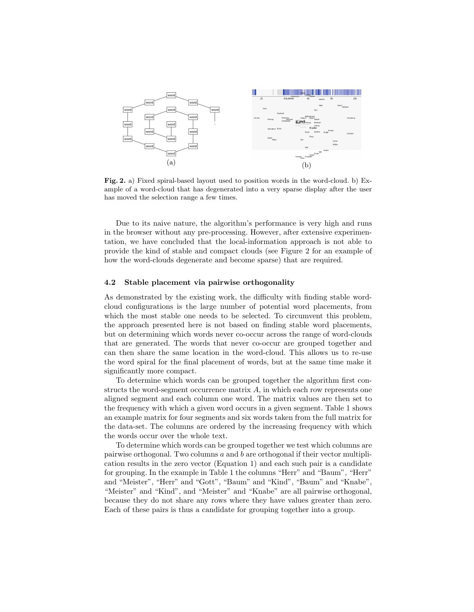

Fig. 2. a) Fixed spiral-based layout used to position words in the word-cloud. b) Example of a word-cloud that has degenerated into a very sparse display after the user has moved the selection range a few times.

Due to its naive nature, the algorithm's performance is very high and runs in the browser without any pre-processing. However, after extensive experimentation, we have concluded that the local-information approach is not able to provide the kind of stable and compact clouds (see Figure 2 for an example of how the word-clouds degenerate and become sparse) that are required.

#### 4.2 Stable placement via pairwise orthogonality

As demonstrated by the existing work, the difficulty with finding stable wordcloud configurations is the large number of potential word placements, from which the most stable one needs to be selected. To circumvent this problem, the approach presented here is not based on finding stable word placements, but on determining which words never co-occur across the range of word-clouds that are generated. The words that never co-occur are grouped together and can then share the same location in the word-cloud. This allows us to re-use the word spiral for the final placement of words, but at the same time make it significantly more compact.

To determine which words can be grouped together the algorithm first constructs the word-segment occurrence matrix  $A$ , in which each row represents one aligned segment and each column one word. The matrix values are then set to the frequency with which a given word occurs in a given segment. Table 1 shows an example matrix for four segments and six words taken from the full matrix for the data-set. The columns are ordered by the increasing frequency with which the words occur over the whole text.

To determine which words can be grouped together we test which columns are pairwise orthogonal. Two columns  $a$  and  $b$  are orthogonal if their vector multiplication results in the zero vector (Equation 1) and each such pair is a candidate for grouping. In the example in Table 1 the columns "Herr" and "Baum", "Herr" and "Meister", "Herr" and "Gott", "Baum" and "Kind", "Baum" and "Knabe", "Meister" and "Kind", and "Meister" and "Knabe" are all pairwise orthogonal, because they do not share any rows where they have values greater than zero. Each of these pairs is thus a candidate for grouping together into a group.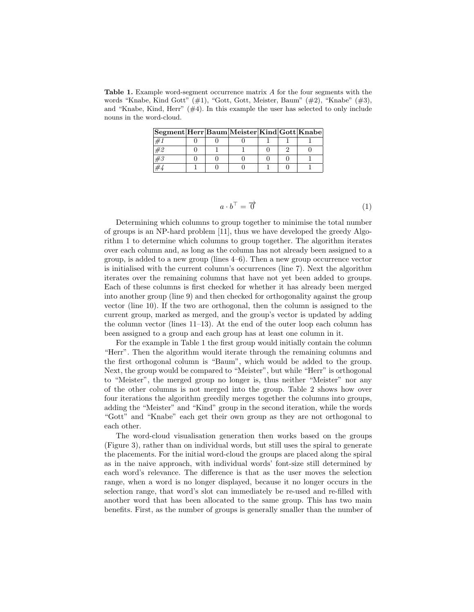Table 1. Example word-segment occurrence matrix A for the four segments with the words "Knabe, Kind Gott" (#1), "Gott, Gott, Meister, Baum" (#2), "Knabe" (#3), and "Knabe, Kind, Herr"  $(\#4)$ . In this example the user has selected to only include nouns in the word-cloud.

| Segment Herr Baum Meister Kind Gott Knabe |  |  |  |
|-------------------------------------------|--|--|--|
| #                                         |  |  |  |
|                                           |  |  |  |
| #3                                        |  |  |  |
|                                           |  |  |  |

$$
a \cdot b^{\top} = \overrightarrow{0} \tag{1}
$$

Determining which columns to group together to minimise the total number of groups is an NP-hard problem [11], thus we have developed the greedy Algorithm 1 to determine which columns to group together. The algorithm iterates over each column and, as long as the column has not already been assigned to a group, is added to a new group (lines 4–6). Then a new group occurrence vector is initialised with the current column's occurrences (line 7). Next the algorithm iterates over the remaining columns that have not yet been added to groups. Each of these columns is first checked for whether it has already been merged into another group (line 9) and then checked for orthogonality against the group vector (line 10). If the two are orthogonal, then the column is assigned to the current group, marked as merged, and the group's vector is updated by adding the column vector (lines  $11-13$ ). At the end of the outer loop each column has been assigned to a group and each group has at least one column in it.

For the example in Table 1 the first group would initially contain the column "Herr". Then the algorithm would iterate through the remaining columns and the first orthogonal column is "Baum", which would be added to the group. Next, the group would be compared to "Meister", but while "Herr" is orthogonal to "Meister", the merged group no longer is, thus neither "Meister" nor any of the other columns is not merged into the group. Table 2 shows how over four iterations the algorithm greedily merges together the columns into groups, adding the "Meister" and "Kind" group in the second iteration, while the words "Gott" and "Knabe" each get their own group as they are not orthogonal to each other.

The word-cloud visualisation generation then works based on the groups (Figure 3), rather than on individual words, but still uses the spiral to generate the placements. For the initial word-cloud the groups are placed along the spiral as in the naive approach, with individual words' font-size still determined by each word's relevance. The difference is that as the user moves the selection range, when a word is no longer displayed, because it no longer occurs in the selection range, that word's slot can immediately be re-used and re-filled with another word that has been allocated to the same group. This has two main benefits. First, as the number of groups is generally smaller than the number of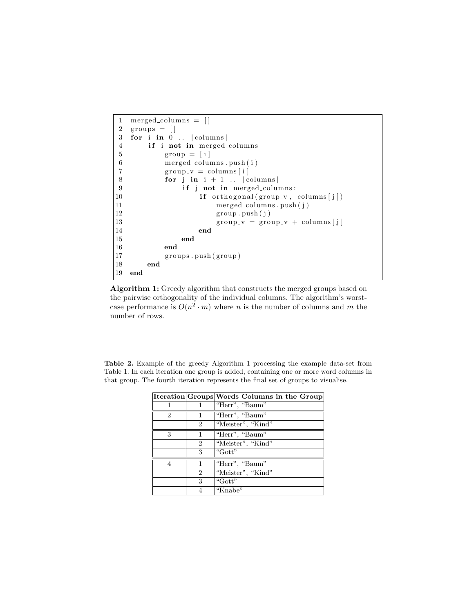```
1 merged columns = [ ]
2 \text{ groups} = []3 for i in 0 . . | columns |
4 if i not in merged_columns
5 \qquad \qquad \text{group} = [i]6 merged columns . push ( i )
7 \quad \text{group}_-v = \text{columns} \{i\}8 for j in i + 1 .. \vert columns \vert9 if j not in merged_columns:
10 if orthogonal (group_v, columns [j])
11 merged_columns . push ( j )
12 group . push ( j )
13 group_v = group_v + columns [j]
14 end
15 end
16 \qquad \qquad \mathbf{end}17 groups.push (group)
18 end
19 end
```
Algorithm 1: Greedy algorithm that constructs the merged groups based on the pairwise orthogonality of the individual columns. The algorithm's worstcase performance is  $O(n^2 \cdot m)$  where n is the number of columns and m the number of rows.

Table 2. Example of the greedy Algorithm 1 processing the example data-set from Table 1. In each iteration one group is added, containing one or more word columns in that group. The fourth iteration represents the final set of groups to visualise.

|   |                | Iteration Groups Words Columns in the Group |
|---|----------------|---------------------------------------------|
|   | 1              | "Herr", "Baum"                              |
| 2 | 1              | "Herr", "Baum"                              |
|   | $\overline{2}$ | "Meister", "Kind"                           |
| 3 | 1              | "Herr", "Baum"                              |
|   | $\overline{2}$ | "Meister", "Kind"                           |
|   | 3              | "Gott"                                      |
|   | 1              | "Herr", "Baum"                              |
|   | 2              | "Meister", "Kind"                           |
|   | 3              | "Gott"                                      |
|   |                | "Knabe"                                     |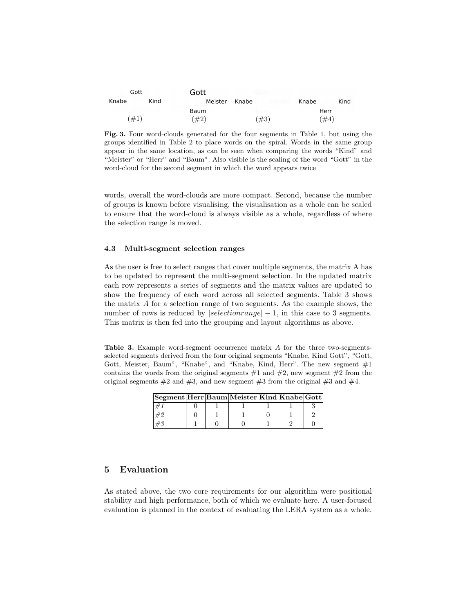| Gott  |      | Gott    |               |          |         |      |
|-------|------|---------|---------------|----------|---------|------|
| Knabe | Kind | Meister | Knabe         | Misiaber | Knabe   | Kind |
|       |      | Baum    | <b>H-bamm</b> |          | Herr    |      |
| #1)   |      | #2)     | #3)           |          | $(\#4)$ |      |

Fig. 3. Four word-clouds generated for the four segments in Table 1, but using the groups identified in Table 2 to place words on the spiral. Words in the same group appear in the same location, as can be seen when comparing the words "Kind" and "Meister" or "Herr" and "Baum". Also visible is the scaling of the word "Gott" in the word-cloud for the second segment in which the word appears twice

words, overall the word-clouds are more compact. Second, because the number of groups is known before visualising, the visualisation as a whole can be scaled to ensure that the word-cloud is always visible as a whole, regardless of where the selection range is moved.

#### 4.3 Multi-segment selection ranges

As the user is free to select ranges that cover multiple segments, the matrix A has to be updated to represent the multi-segment selection. In the updated matrix each row represents a series of segments and the matrix values are updated to show the frequency of each word across all selected segments. Table 3 shows the matrix A for a selection range of two segments. As the example shows, the number of rows is reduced by  $|selectionrange| - 1$ , in this case to 3 segments. This matrix is then fed into the grouping and layout algorithms as above.

Table 3. Example word-segment occurrence matrix A for the three two-segmentsselected segments derived from the four original segments "Knabe, Kind Gott", "Gott, Gott, Meister, Baum", "Knabe", and "Knabe, Kind, Herr". The new segment #1 contains the words from the original segments  $#1$  and  $#2$ , new segment  $#2$  from the original segments  $#2$  and  $#3$ , and new segment  $#3$  from the original  $#3$  and  $#4$ .

| Segment Herr Baum Meister Kind Knabe Gott |  |  |  |
|-------------------------------------------|--|--|--|
| $\#$                                      |  |  |  |
|                                           |  |  |  |
|                                           |  |  |  |

### 5 Evaluation

As stated above, the two core requirements for our algorithm were positional stability and high performance, both of which we evaluate here. A user-focused evaluation is planned in the context of evaluating the LERA system as a whole.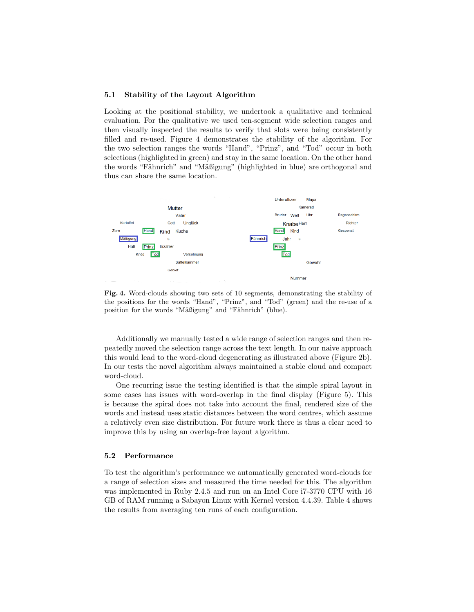#### 5.1 Stability of the Layout Algorithm

Looking at the positional stability, we undertook a qualitative and technical evaluation. For the qualitative we used ten-segment wide selection ranges and then visually inspected the results to verify that slots were being consistently filled and re-used. Figure 4 demonstrates the stability of the algorithm. For the two selection ranges the words "Hand", "Prinz", and "Tod" occur in both selections (highlighted in green) and stay in the same location. On the other hand the words "Fähnrich" and "Mäßigung" (highlighted in blue) are orthogonal and thus can share the same location.



Fig. 4. Word-clouds showing two sets of 10 segments, demonstrating the stability of the positions for the words "Hand", "Prinz", and "Tod" (green) and the re-use of a position for the words "Mäßigung" and "Fähnrich" (blue).

Additionally we manually tested a wide range of selection ranges and then repeatedly moved the selection range across the text length. In our naive approach this would lead to the word-cloud degenerating as illustrated above (Figure 2b). In our tests the novel algorithm always maintained a stable cloud and compact word-cloud.

One recurring issue the testing identified is that the simple spiral layout in some cases has issues with word-overlap in the final display (Figure 5). This is because the spiral does not take into account the final, rendered size of the words and instead uses static distances between the word centres, which assume a relatively even size distribution. For future work there is thus a clear need to improve this by using an overlap-free layout algorithm.

#### 5.2 Performance

To test the algorithm's performance we automatically generated word-clouds for a range of selection sizes and measured the time needed for this. The algorithm was implemented in Ruby 2.4.5 and run on an Intel Core i7-3770 CPU with 16 GB of RAM running a Sabayon Linux with Kernel version 4.4.39. Table 4 shows the results from averaging ten runs of each configuration.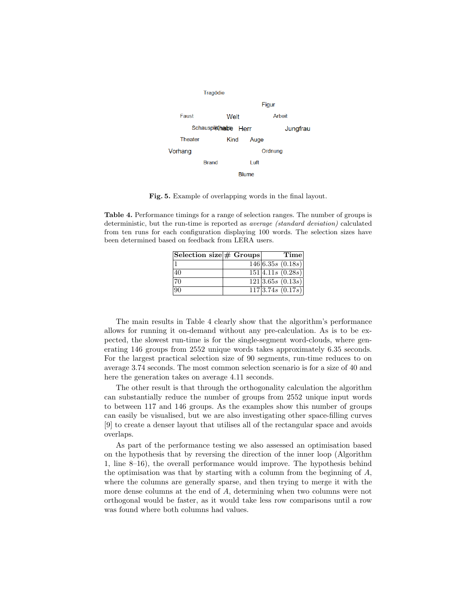

Fig. 5. Example of overlapping words in the final layout.

Table 4. Performance timings for a range of selection ranges. The number of groups is deterministic, but the run-time is reported as average (standard deviation) calculated from ten runs for each configuration displaying 100 words. The selection sizes have been determined based on feedback from LERA users.

| $ {\rm Selection~size} \#$ Groups | Time                          |
|-----------------------------------|-------------------------------|
|                                   | 146 6.35s(0.18s)              |
| 40                                | 151 4.11s(0.28s)              |
| 70                                | 121 3.65s(0.13s)              |
| 90                                | $\overline{117 3.74s(0.17s)}$ |

The main results in Table 4 clearly show that the algorithm's performance allows for running it on-demand without any pre-calculation. As is to be expected, the slowest run-time is for the single-segment word-clouds, where generating 146 groups from 2552 unique words takes approximately 6.35 seconds. For the largest practical selection size of 90 segments, run-time reduces to on average 3.74 seconds. The most common selection scenario is for a size of 40 and here the generation takes on average 4.11 seconds.

The other result is that through the orthogonality calculation the algorithm can substantially reduce the number of groups from 2552 unique input words to between 117 and 146 groups. As the examples show this number of groups can easily be visualised, but we are also investigating other space-filling curves [9] to create a denser layout that utilises all of the rectangular space and avoids overlaps.

As part of the performance testing we also assessed an optimisation based on the hypothesis that by reversing the direction of the inner loop (Algorithm 1, line 8–16), the overall performance would improve. The hypothesis behind the optimisation was that by starting with a column from the beginning of  $A$ , where the columns are generally sparse, and then trying to merge it with the more dense columns at the end of A, determining when two columns were not orthogonal would be faster, as it would take less row comparisons until a row was found where both columns had values.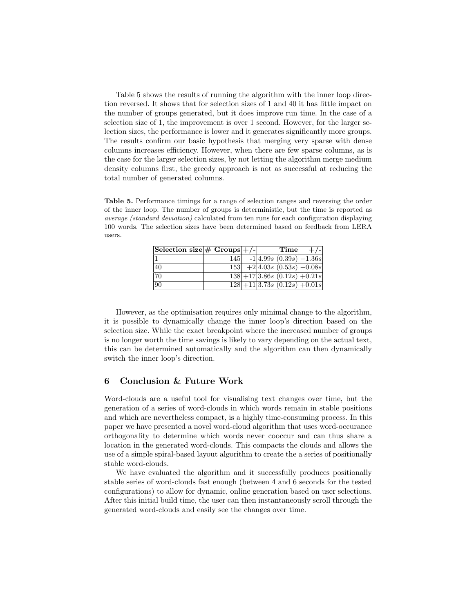Table 5 shows the results of running the algorithm with the inner loop direction reversed. It shows that for selection sizes of 1 and 40 it has little impact on the number of groups generated, but it does improve run time. In the case of a selection size of 1, the improvement is over 1 second. However, for the larger selection sizes, the performance is lower and it generates significantly more groups. The results confirm our basic hypothesis that merging very sparse with dense columns increases efficiency. However, when there are few sparse columns, as is the case for the larger selection sizes, by not letting the algorithm merge medium density columns first, the greedy approach is not as successful at reducing the total number of generated columns.

Table 5. Performance timings for a range of selection ranges and reversing the order of the inner loop. The number of groups is deterministic, but the time is reported as average (standard deviation) calculated from ten runs for each configuration displaying 100 words. The selection sizes have been determined based on feedback from LERA users.

| $ \text{Selection size} \# \text{ Groups} +/- $ |  | Time                                                 | $+/-$ |
|-------------------------------------------------|--|------------------------------------------------------|-------|
|                                                 |  | $\overline{145}$ -1 $\overline{4.99s(0.39s)}$ -1.36s |       |
| 40                                              |  | $153 \mid +2 \mid 4.03s \; (0.53s) \mid -0.08s$      |       |
| 70                                              |  | $\overline{138 +17 3.86s(0.12s) +0.21s}$             |       |
| $ 90\rangle$                                    |  | $\frac{128+11}{3.73s}(0.12s)+0.01s$                  |       |

However, as the optimisation requires only minimal change to the algorithm, it is possible to dynamically change the inner loop's direction based on the selection size. While the exact breakpoint where the increased number of groups is no longer worth the time savings is likely to vary depending on the actual text, this can be determined automatically and the algorithm can then dynamically switch the inner loop's direction.

### 6 Conclusion & Future Work

Word-clouds are a useful tool for visualising text changes over time, but the generation of a series of word-clouds in which words remain in stable positions and which are nevertheless compact, is a highly time-consuming process. In this paper we have presented a novel word-cloud algorithm that uses word-occurance orthogonality to determine which words never cooccur and can thus share a location in the generated word-clouds. This compacts the clouds and allows the use of a simple spiral-based layout algorithm to create the a series of positionally stable word-clouds.

We have evaluated the algorithm and it successfully produces positionally stable series of word-clouds fast enough (between 4 and 6 seconds for the tested configurations) to allow for dynamic, online generation based on user selections. After this initial build time, the user can then instantaneously scroll through the generated word-clouds and easily see the changes over time.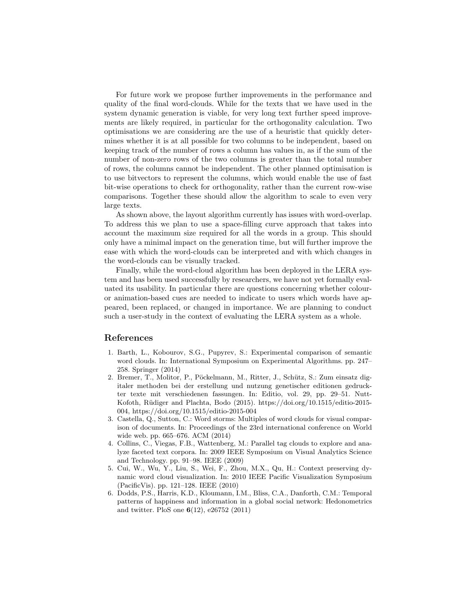For future work we propose further improvements in the performance and quality of the final word-clouds. While for the texts that we have used in the system dynamic generation is viable, for very long text further speed improvements are likely required, in particular for the orthogonality calculation. Two optimisations we are considering are the use of a heuristic that quickly determines whether it is at all possible for two columns to be independent, based on keeping track of the number of rows a column has values in, as if the sum of the number of non-zero rows of the two columns is greater than the total number of rows, the columns cannot be independent. The other planned optimisation is to use bitvectors to represent the columns, which would enable the use of fast bit-wise operations to check for orthogonality, rather than the current row-wise comparisons. Together these should allow the algorithm to scale to even very large texts.

As shown above, the layout algorithm currently has issues with word-overlap. To address this we plan to use a space-filling curve approach that takes into account the maximum size required for all the words in a group. This should only have a minimal impact on the generation time, but will further improve the ease with which the word-clouds can be interpreted and with which changes in the word-clouds can be visually tracked.

Finally, while the word-cloud algorithm has been deployed in the LERA system and has been used successfully by researchers, we have not yet formally evaluated its usability. In particular there are questions concerning whether colouror animation-based cues are needed to indicate to users which words have appeared, been replaced, or changed in importance. We are planning to conduct such a user-study in the context of evaluating the LERA system as a whole.

#### References

- 1. Barth, L., Kobourov, S.G., Pupyrev, S.: Experimental comparison of semantic word clouds. In: International Symposium on Experimental Algorithms. pp. 247– 258. Springer (2014)
- 2. Bremer, T., Molitor, P., Pöckelmann, M., Ritter, J., Schütz, S.: Zum einsatz digitaler methoden bei der erstellung und nutzung genetischer editionen gedruckter texte mit verschiedenen fassungen. In: Editio, vol. 29, pp. 29–51. Nutt-Kofoth, Rüdiger and Plachta, Bodo (2015). https://doi.org/10.1515/editio-2015-004, https://doi.org/10.1515/editio-2015-004
- 3. Castella, Q., Sutton, C.: Word storms: Multiples of word clouds for visual comparison of documents. In: Proceedings of the 23rd international conference on World wide web. pp. 665–676. ACM (2014)
- 4. Collins, C., Viegas, F.B., Wattenberg, M.: Parallel tag clouds to explore and analyze faceted text corpora. In: 2009 IEEE Symposium on Visual Analytics Science and Technology. pp. 91–98. IEEE (2009)
- 5. Cui, W., Wu, Y., Liu, S., Wei, F., Zhou, M.X., Qu, H.: Context preserving dynamic word cloud visualization. In: 2010 IEEE Pacific Visualization Symposium (PacificVis). pp. 121–128. IEEE (2010)
- 6. Dodds, P.S., Harris, K.D., Kloumann, I.M., Bliss, C.A., Danforth, C.M.: Temporal patterns of happiness and information in a global social network: Hedonometrics and twitter. PloS one 6(12), e26752 (2011)